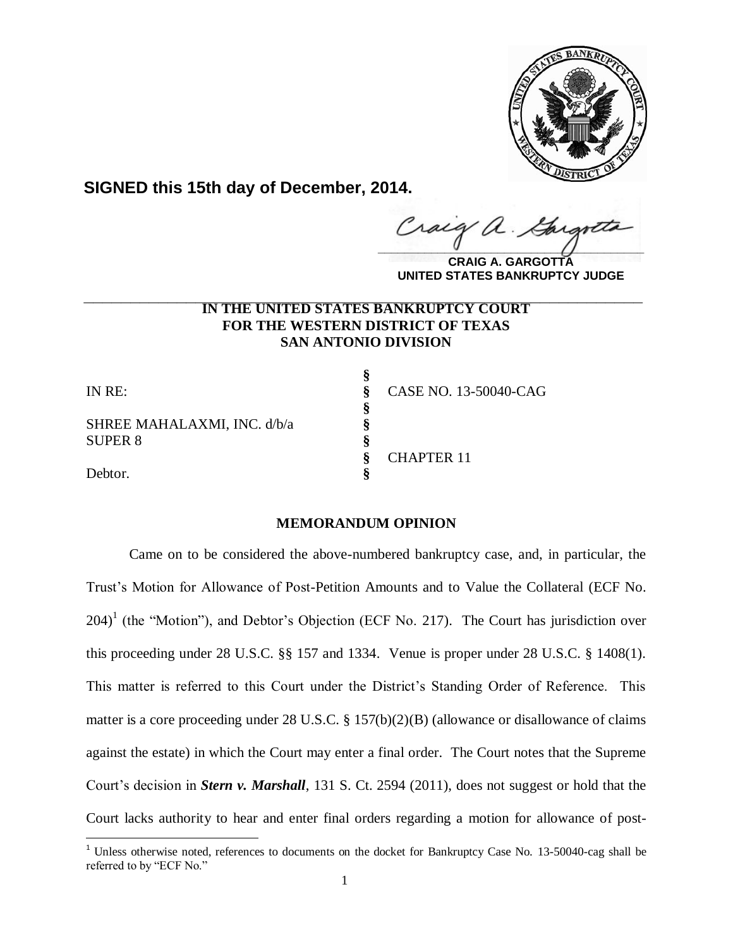

**SIGNED this 15th day of December, 2014.**

Craig a.

**CRAIG A. GARGOTTA UNITED STATES BANKRUPTCY JUDGE**

# **IN THE UNITED STATES BANKRUPTCY COURT FOR THE WESTERN DISTRICT OF TEXAS SAN ANTONIO DIVISION \_\_\_\_\_\_\_\_\_\_\_\_\_\_\_\_\_\_\_\_\_\_\_\_\_\_\_\_\_\_\_\_\_\_\_\_\_\_\_\_\_\_\_\_\_\_\_\_\_\_\_\_\_\_\_\_\_\_\_\_**

**§**

**§**

SHREE MAHALAXMI, INC. d/b/a **§** SUPER 8 **§**

Debtor. **§** 

 $\overline{a}$ 

IN RE: **§** CASE NO. 13-50040-CAG **§** CHAPTER 11

# **MEMORANDUM OPINION**

Came on to be considered the above-numbered bankruptcy case, and, in particular, the Trust's Motion for Allowance of Post-Petition Amounts and to Value the Collateral (ECF No.  $204$ <sup>1</sup> (the "Motion"), and Debtor's Objection (ECF No. 217). The Court has jurisdiction over this proceeding under 28 U.S.C. §§ 157 and 1334. Venue is proper under 28 U.S.C. § 1408(1). This matter is referred to this Court under the District's Standing Order of Reference. This matter is a core proceeding under 28 U.S.C. § 157(b)(2)(B) (allowance or disallowance of claims against the estate) in which the Court may enter a final order. The Court notes that the Supreme Court's decision in *Stern v. Marshall*, 131 S. Ct. 2594 (2011), does not suggest or hold that the Court lacks authority to hear and enter final orders regarding a motion for allowance of post-

<sup>&</sup>lt;sup>1</sup> Unless otherwise noted, references to documents on the docket for Bankruptcy Case No. 13-50040-cag shall be referred to by "ECF No."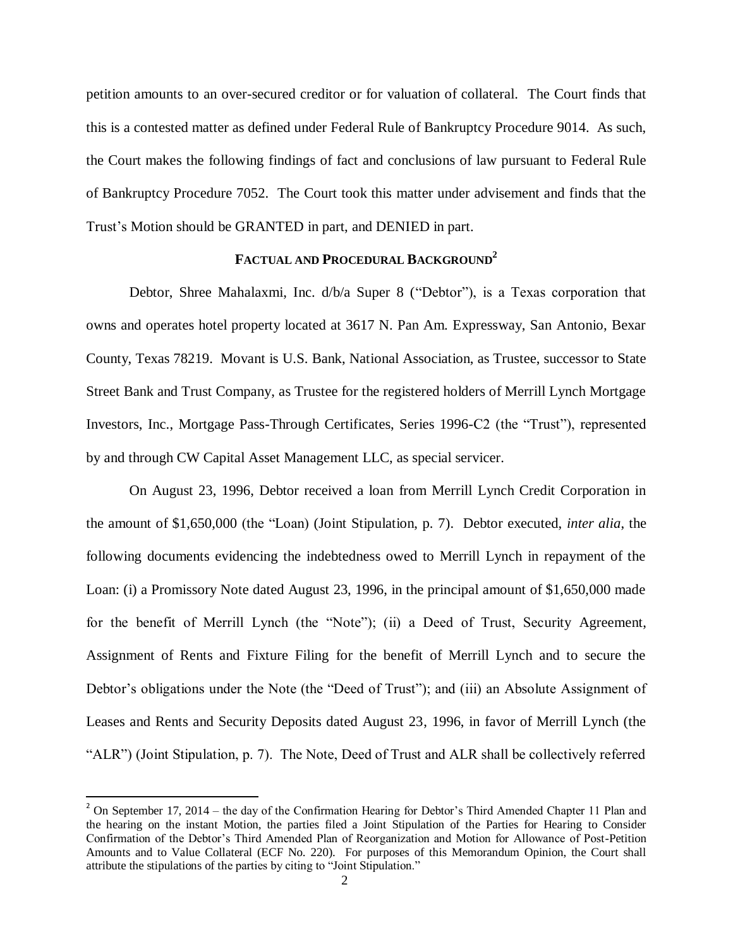petition amounts to an over-secured creditor or for valuation of collateral. The Court finds that this is a contested matter as defined under Federal Rule of Bankruptcy Procedure 9014. As such, the Court makes the following findings of fact and conclusions of law pursuant to Federal Rule of Bankruptcy Procedure 7052. The Court took this matter under advisement and finds that the Trust's Motion should be GRANTED in part, and DENIED in part.

# **FACTUAL AND PROCEDURAL BACKGROUND<sup>2</sup>**

Debtor, Shree Mahalaxmi, Inc. d/b/a Super 8 ("Debtor"), is a Texas corporation that owns and operates hotel property located at 3617 N. Pan Am. Expressway, San Antonio, Bexar County, Texas 78219. Movant is U.S. Bank, National Association, as Trustee, successor to State Street Bank and Trust Company, as Trustee for the registered holders of Merrill Lynch Mortgage Investors, Inc., Mortgage Pass-Through Certificates, Series 1996-C2 (the "Trust"), represented by and through CW Capital Asset Management LLC, as special servicer.

On August 23, 1996, Debtor received a loan from Merrill Lynch Credit Corporation in the amount of \$1,650,000 (the "Loan) (Joint Stipulation, p. 7). Debtor executed, *inter alia*, the following documents evidencing the indebtedness owed to Merrill Lynch in repayment of the Loan: (i) a Promissory Note dated August 23, 1996, in the principal amount of \$1,650,000 made for the benefit of Merrill Lynch (the "Note"); (ii) a Deed of Trust, Security Agreement, Assignment of Rents and Fixture Filing for the benefit of Merrill Lynch and to secure the Debtor's obligations under the Note (the "Deed of Trust"); and (iii) an Absolute Assignment of Leases and Rents and Security Deposits dated August 23, 1996, in favor of Merrill Lynch (the "ALR") (Joint Stipulation, p. 7). The Note, Deed of Trust and ALR shall be collectively referred

 $\overline{\phantom{a}}$ 

 $2$  On September 17, 2014 – the day of the Confirmation Hearing for Debtor's Third Amended Chapter 11 Plan and the hearing on the instant Motion, the parties filed a Joint Stipulation of the Parties for Hearing to Consider Confirmation of the Debtor's Third Amended Plan of Reorganization and Motion for Allowance of Post-Petition Amounts and to Value Collateral (ECF No. 220). For purposes of this Memorandum Opinion, the Court shall attribute the stipulations of the parties by citing to "Joint Stipulation."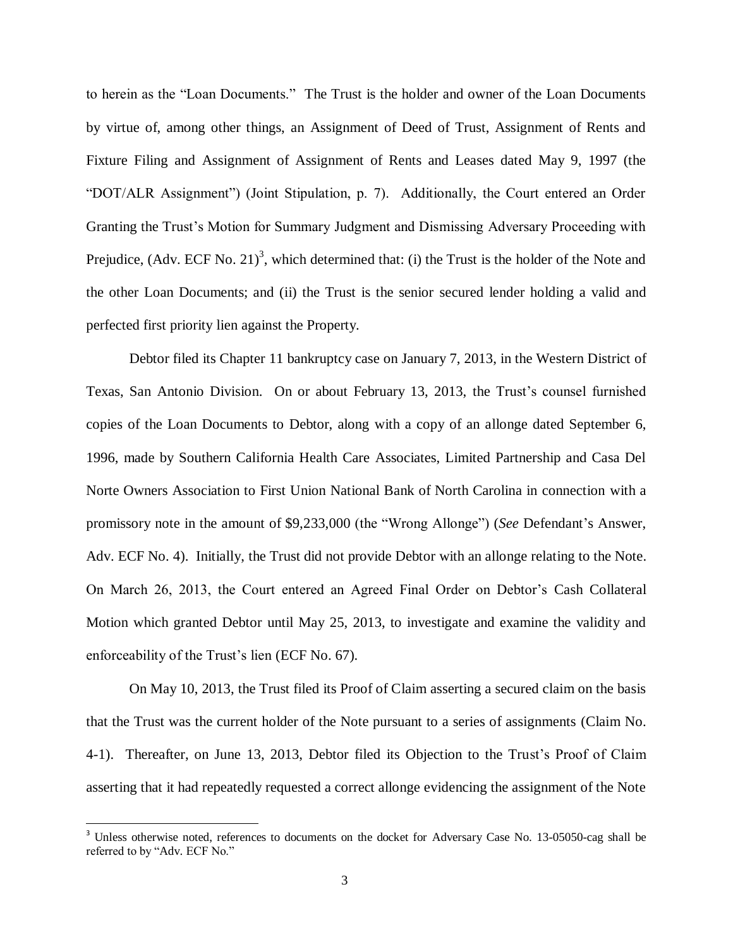to herein as the "Loan Documents." The Trust is the holder and owner of the Loan Documents by virtue of, among other things, an Assignment of Deed of Trust, Assignment of Rents and Fixture Filing and Assignment of Assignment of Rents and Leases dated May 9, 1997 (the "DOT/ALR Assignment") (Joint Stipulation, p. 7). Additionally, the Court entered an Order Granting the Trust's Motion for Summary Judgment and Dismissing Adversary Proceeding with Prejudice, (Adv. ECF No. 21)<sup>3</sup>, which determined that: (i) the Trust is the holder of the Note and the other Loan Documents; and (ii) the Trust is the senior secured lender holding a valid and perfected first priority lien against the Property.

Debtor filed its Chapter 11 bankruptcy case on January 7, 2013, in the Western District of Texas, San Antonio Division. On or about February 13, 2013, the Trust's counsel furnished copies of the Loan Documents to Debtor, along with a copy of an allonge dated September 6, 1996, made by Southern California Health Care Associates, Limited Partnership and Casa Del Norte Owners Association to First Union National Bank of North Carolina in connection with a promissory note in the amount of \$9,233,000 (the "Wrong Allonge") (*See* Defendant's Answer, Adv. ECF No. 4). Initially, the Trust did not provide Debtor with an allonge relating to the Note. On March 26, 2013, the Court entered an Agreed Final Order on Debtor's Cash Collateral Motion which granted Debtor until May 25, 2013, to investigate and examine the validity and enforceability of the Trust's lien (ECF No. 67).

On May 10, 2013, the Trust filed its Proof of Claim asserting a secured claim on the basis that the Trust was the current holder of the Note pursuant to a series of assignments (Claim No. 4-1). Thereafter, on June 13, 2013, Debtor filed its Objection to the Trust's Proof of Claim asserting that it had repeatedly requested a correct allonge evidencing the assignment of the Note

 $\overline{a}$ 

<sup>&</sup>lt;sup>3</sup> Unless otherwise noted, references to documents on the docket for Adversary Case No. 13-05050-cag shall be referred to by "Adv. ECF No."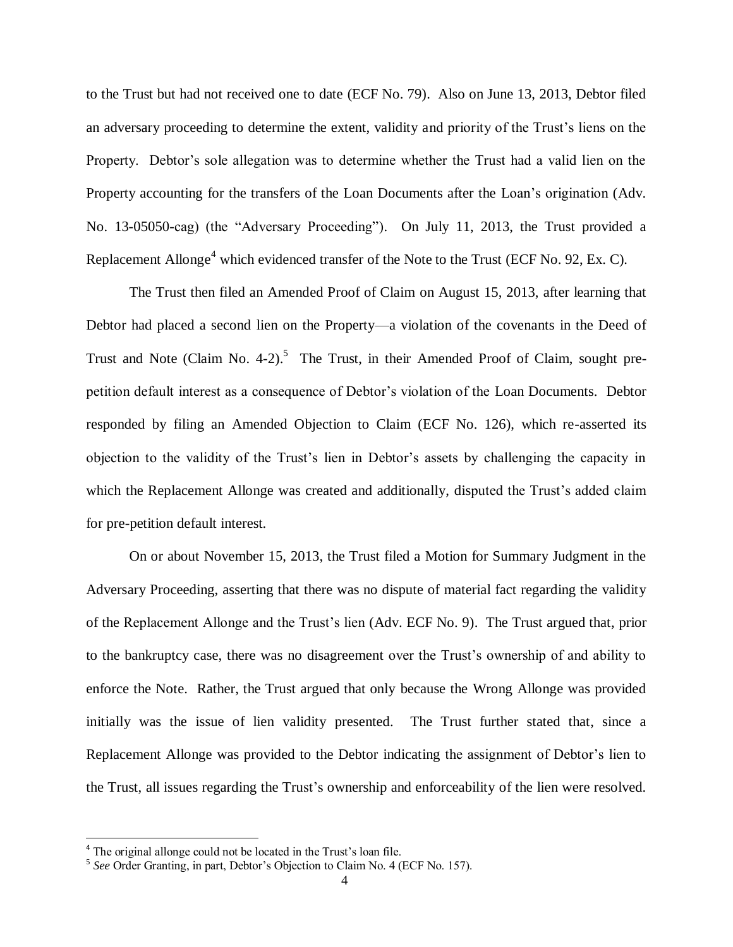to the Trust but had not received one to date (ECF No. 79). Also on June 13, 2013, Debtor filed an adversary proceeding to determine the extent, validity and priority of the Trust's liens on the Property. Debtor's sole allegation was to determine whether the Trust had a valid lien on the Property accounting for the transfers of the Loan Documents after the Loan's origination (Adv. No. 13-05050-cag) (the "Adversary Proceeding"). On July 11, 2013, the Trust provided a Replacement Allonge<sup>4</sup> which evidenced transfer of the Note to the Trust (ECF No. 92, Ex. C).

The Trust then filed an Amended Proof of Claim on August 15, 2013, after learning that Debtor had placed a second lien on the Property—a violation of the covenants in the Deed of Trust and Note (Claim No. 4-2).<sup>5</sup> The Trust, in their Amended Proof of Claim, sought prepetition default interest as a consequence of Debtor's violation of the Loan Documents. Debtor responded by filing an Amended Objection to Claim (ECF No. 126), which re-asserted its objection to the validity of the Trust's lien in Debtor's assets by challenging the capacity in which the Replacement Allonge was created and additionally, disputed the Trust's added claim for pre-petition default interest.

On or about November 15, 2013, the Trust filed a Motion for Summary Judgment in the Adversary Proceeding, asserting that there was no dispute of material fact regarding the validity of the Replacement Allonge and the Trust's lien (Adv. ECF No. 9). The Trust argued that, prior to the bankruptcy case, there was no disagreement over the Trust's ownership of and ability to enforce the Note. Rather, the Trust argued that only because the Wrong Allonge was provided initially was the issue of lien validity presented. The Trust further stated that, since a Replacement Allonge was provided to the Debtor indicating the assignment of Debtor's lien to the Trust, all issues regarding the Trust's ownership and enforceability of the lien were resolved.

<sup>&</sup>lt;sup>4</sup> The original allonge could not be located in the Trust's loan file.<br><sup>5</sup> See Order Granting, in part, Debtor's Objection to Claim No. 4 (ECF No. 157).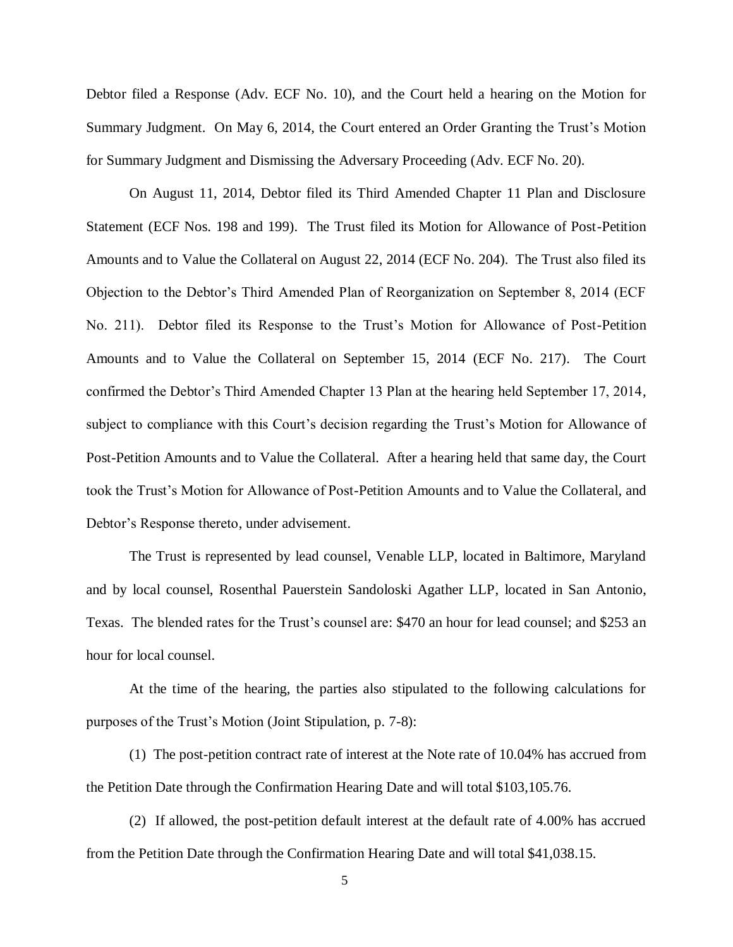Debtor filed a Response (Adv. ECF No. 10), and the Court held a hearing on the Motion for Summary Judgment. On May 6, 2014, the Court entered an Order Granting the Trust's Motion for Summary Judgment and Dismissing the Adversary Proceeding (Adv. ECF No. 20).

On August 11, 2014, Debtor filed its Third Amended Chapter 11 Plan and Disclosure Statement (ECF Nos. 198 and 199). The Trust filed its Motion for Allowance of Post-Petition Amounts and to Value the Collateral on August 22, 2014 (ECF No. 204). The Trust also filed its Objection to the Debtor's Third Amended Plan of Reorganization on September 8, 2014 (ECF No. 211). Debtor filed its Response to the Trust's Motion for Allowance of Post-Petition Amounts and to Value the Collateral on September 15, 2014 (ECF No. 217). The Court confirmed the Debtor's Third Amended Chapter 13 Plan at the hearing held September 17, 2014, subject to compliance with this Court's decision regarding the Trust's Motion for Allowance of Post-Petition Amounts and to Value the Collateral. After a hearing held that same day, the Court took the Trust's Motion for Allowance of Post-Petition Amounts and to Value the Collateral, and Debtor's Response thereto, under advisement.

The Trust is represented by lead counsel, Venable LLP, located in Baltimore, Maryland and by local counsel, Rosenthal Pauerstein Sandoloski Agather LLP, located in San Antonio, Texas. The blended rates for the Trust's counsel are: \$470 an hour for lead counsel; and \$253 an hour for local counsel.

At the time of the hearing, the parties also stipulated to the following calculations for purposes of the Trust's Motion (Joint Stipulation, p. 7-8):

(1) The post-petition contract rate of interest at the Note rate of 10.04% has accrued from the Petition Date through the Confirmation Hearing Date and will total \$103,105.76.

(2) If allowed, the post-petition default interest at the default rate of 4.00% has accrued from the Petition Date through the Confirmation Hearing Date and will total \$41,038.15.

5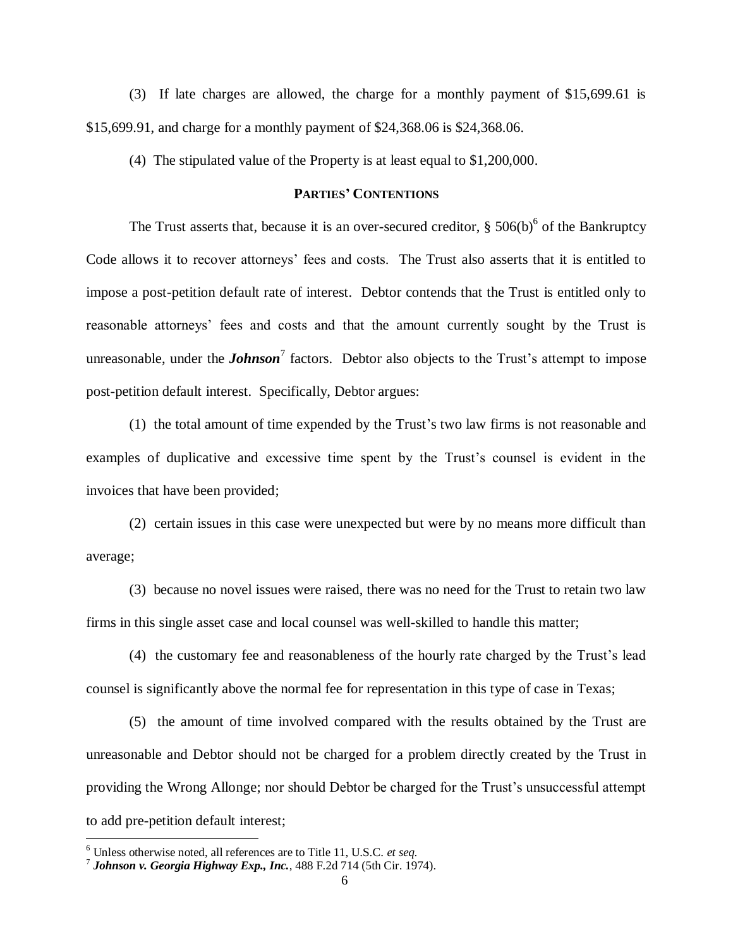(3) If late charges are allowed, the charge for a monthly payment of \$15,699.61 is \$15,699.91, and charge for a monthly payment of \$24,368.06 is \$24,368.06.

(4) The stipulated value of the Property is at least equal to \$1,200,000.

#### **PARTIES' CONTENTIONS**

The Trust asserts that, because it is an over-secured creditor,  $\S 506(b)^6$  of the Bankruptcy Code allows it to recover attorneys' fees and costs. The Trust also asserts that it is entitled to impose a post-petition default rate of interest. Debtor contends that the Trust is entitled only to reasonable attorneys' fees and costs and that the amount currently sought by the Trust is unreasonable, under the *Johnson*<sup>7</sup> factors. Debtor also objects to the Trust's attempt to impose post-petition default interest. Specifically, Debtor argues:

(1) the total amount of time expended by the Trust's two law firms is not reasonable and examples of duplicative and excessive time spent by the Trust's counsel is evident in the invoices that have been provided;

(2) certain issues in this case were unexpected but were by no means more difficult than average;

(3) because no novel issues were raised, there was no need for the Trust to retain two law firms in this single asset case and local counsel was well-skilled to handle this matter;

(4) the customary fee and reasonableness of the hourly rate charged by the Trust's lead counsel is significantly above the normal fee for representation in this type of case in Texas;

(5) the amount of time involved compared with the results obtained by the Trust are unreasonable and Debtor should not be charged for a problem directly created by the Trust in providing the Wrong Allonge; nor should Debtor be charged for the Trust's unsuccessful attempt to add pre-petition default interest;

 $\overline{\phantom{a}}$ 

<sup>6</sup> Unless otherwise noted, all references are to Title 11, U.S.C. *et seq.*

<sup>7</sup> *Johnson v. Georgia Highway Exp., Inc.*, 488 F.2d 714 (5th Cir. 1974).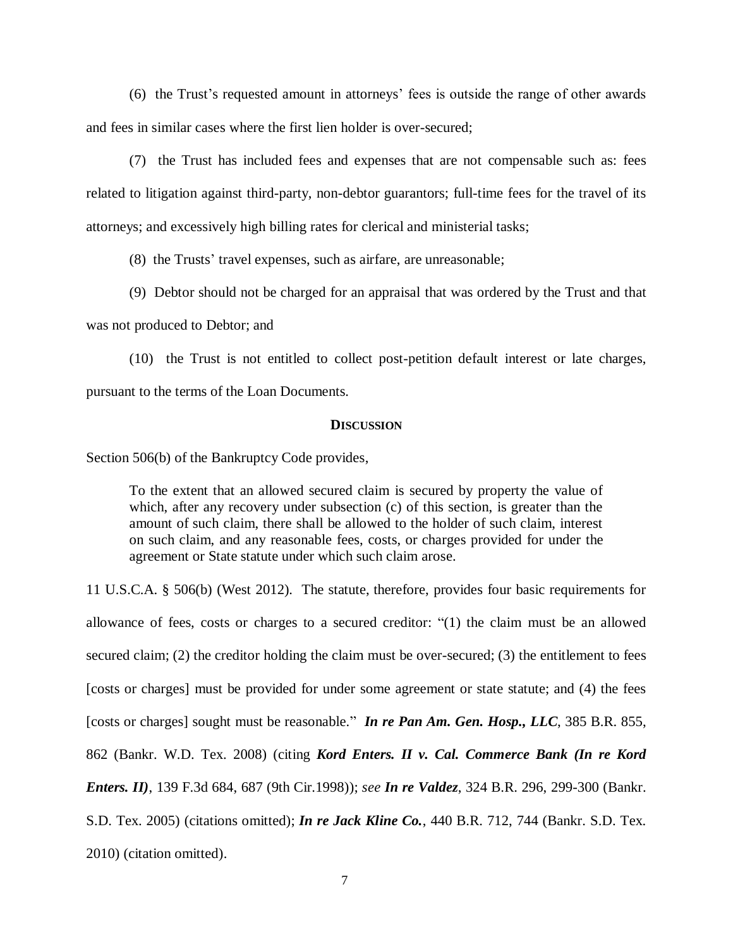(6) the Trust's requested amount in attorneys' fees is outside the range of other awards and fees in similar cases where the first lien holder is over-secured;

(7) the Trust has included fees and expenses that are not compensable such as: fees related to litigation against third-party, non-debtor guarantors; full-time fees for the travel of its attorneys; and excessively high billing rates for clerical and ministerial tasks;

(8) the Trusts' travel expenses, such as airfare, are unreasonable;

(9) Debtor should not be charged for an appraisal that was ordered by the Trust and that

was not produced to Debtor; and

(10) the Trust is not entitled to collect post-petition default interest or late charges, pursuant to the terms of the Loan Documents.

#### **DISCUSSION**

Section 506(b) of the Bankruptcy Code provides,

To the extent that an allowed secured claim is secured by property the value of which, after any recovery under subsection (c) of this section, is greater than the amount of such claim, there shall be allowed to the holder of such claim, interest on such claim, and any reasonable fees, costs, or charges provided for under the agreement or State statute under which such claim arose.

11 U.S.C.A. § 506(b) (West 2012). The statute, therefore, provides four basic requirements for allowance of fees, costs or charges to a secured creditor: "(1) the claim must be an allowed secured claim; (2) the creditor holding the claim must be over-secured; (3) the entitlement to fees [costs or charges] must be provided for under some agreement or state statute; and (4) the fees [costs or charges] sought must be reasonable." *In re Pan Am. Gen. Hosp., LLC*, 385 B.R. 855, 862 (Bankr. W.D. Tex. 2008) (citing *[Kord Enters. II v. Cal. Commerce Bank](https://a.next.westlaw.com/Link/Document/FullText?findType=Y&serNum=1998072592&pubNum=506&fi=co_pp_sp_506_687&originationContext=document&transitionType=DocumentItem&contextData=(sc.Search)#co_pp_sp_506_687) (In re Kord Enters. II)*, [139 F.3d 684, 687 \(9th Cir.1998\)\)](https://a.next.westlaw.com/Link/Document/FullText?findType=Y&serNum=1998072592&pubNum=506&fi=co_pp_sp_506_687&originationContext=document&transitionType=DocumentItem&contextData=(sc.Search)#co_pp_sp_506_687); *see In re Valdez*, 324 B.R. 296, 299-300 (Bankr. S.D. Tex. 2005) (citations omitted); *In re Jack Kline Co.*, 440 B.R. 712, 744 (Bankr. S.D. Tex. 2010) (citation omitted).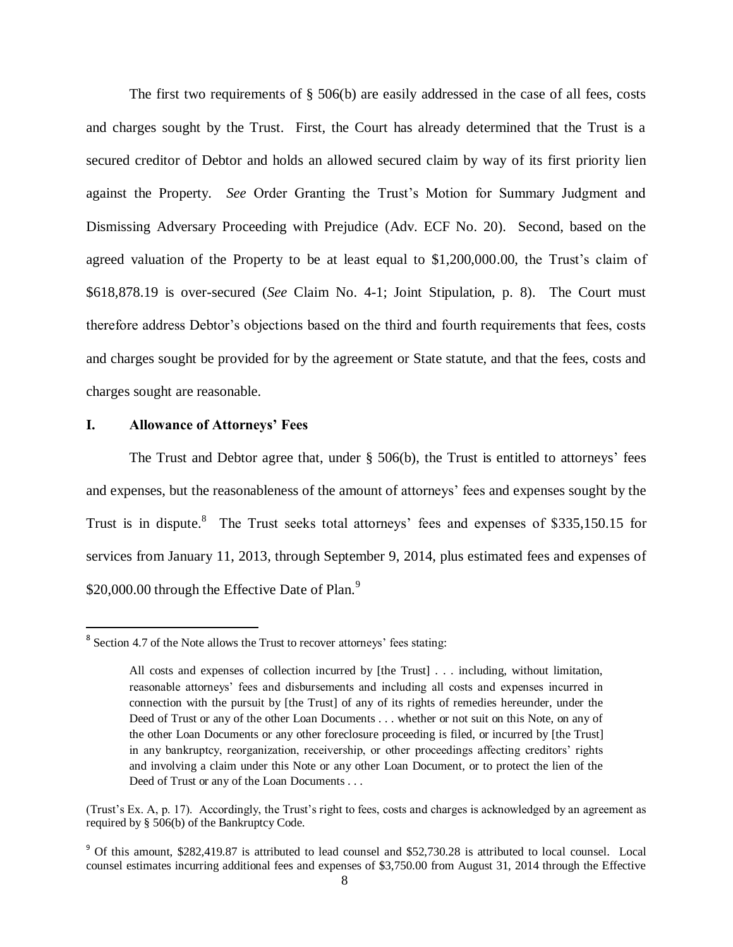The first two requirements of  $\S$  506(b) are easily addressed in the case of all fees, costs and charges sought by the Trust. First, the Court has already determined that the Trust is a secured creditor of Debtor and holds an allowed secured claim by way of its first priority lien against the Property. *See* Order Granting the Trust's Motion for Summary Judgment and Dismissing Adversary Proceeding with Prejudice (Adv. ECF No. 20). Second, based on the agreed valuation of the Property to be at least equal to \$1,200,000.00, the Trust's claim of \$618,878.19 is over-secured (*See* Claim No. 4-1; Joint Stipulation, p. 8). The Court must therefore address Debtor's objections based on the third and fourth requirements that fees, costs and charges sought be provided for by the agreement or State statute, and that the fees, costs and charges sought are reasonable.

#### **I. Allowance of Attorneys' Fees**

 $\overline{\phantom{a}}$ 

The Trust and Debtor agree that, under  $\S$  506(b), the Trust is entitled to attorneys' fees and expenses, but the reasonableness of the amount of attorneys' fees and expenses sought by the Trust is in dispute. $8$  The Trust seeks total attorneys' fees and expenses of \$335,150.15 for services from January 11, 2013, through September 9, 2014, plus estimated fees and expenses of \$20,000.00 through the Effective Date of Plan.<sup>9</sup>

<sup>&</sup>lt;sup>8</sup> Section 4.7 of the Note allows the Trust to recover attorneys' fees stating:

All costs and expenses of collection incurred by [the Trust] . . . including, without limitation, reasonable attorneys' fees and disbursements and including all costs and expenses incurred in connection with the pursuit by [the Trust] of any of its rights of remedies hereunder, under the Deed of Trust or any of the other Loan Documents . . . whether or not suit on this Note, on any of the other Loan Documents or any other foreclosure proceeding is filed, or incurred by [the Trust] in any bankruptcy, reorganization, receivership, or other proceedings affecting creditors' rights and involving a claim under this Note or any other Loan Document, or to protect the lien of the Deed of Trust or any of the Loan Documents . . .

<sup>(</sup>Trust's Ex. A, p. 17).Accordingly, the Trust's right to fees, costs and charges is acknowledged by an agreement as required by § 506(b) of the Bankruptcy Code.

<sup>&</sup>lt;sup>9</sup> Of this amount, \$282,419.87 is attributed to lead counsel and \$52,730.28 is attributed to local counsel. Local counsel estimates incurring additional fees and expenses of \$3,750.00 from August 31, 2014 through the Effective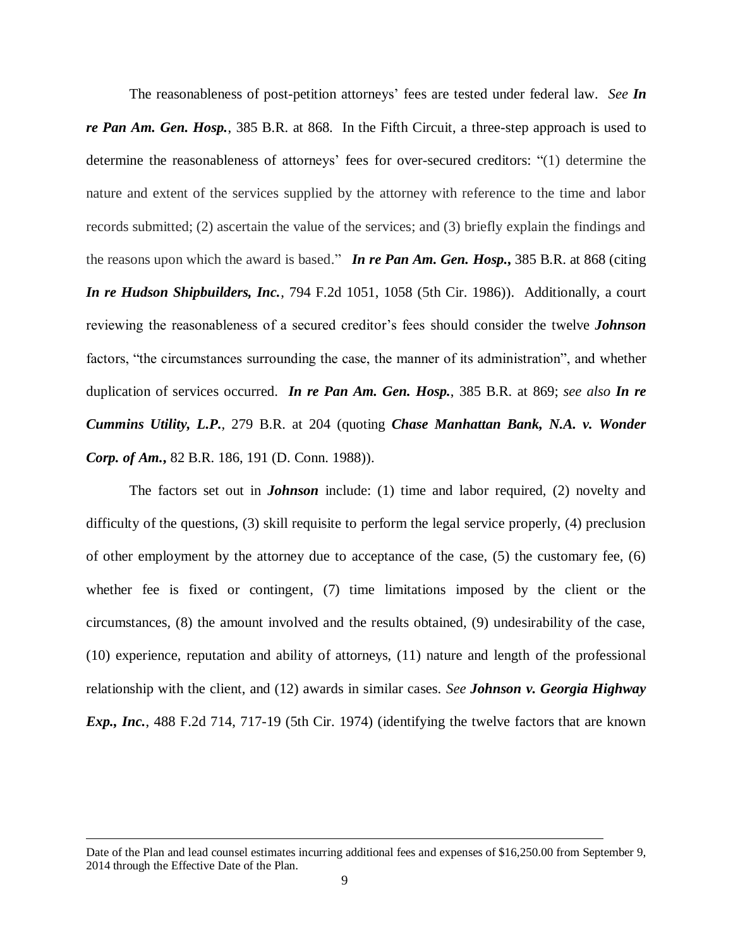The reasonableness of post-petition attorneys' fees are tested under federal law. *See In re Pan Am. Gen. Hosp.*, 385 B.R. at 868. In the Fifth Circuit, a three-step approach is used to determine the reasonableness of attorneys' fees for over-secured creditors: "(1) determine the nature and extent of the services supplied by the attorney with reference to the time and labor records submitted; (2) ascertain the value of the services; and (3) briefly explain the findings and the reasons upon which the award is based." *[In re Pan Am. Gen. Hosp.](https://a.next.westlaw.com/Link/Document/FullText?findType=Y&serNum=1986138081&pubNum=350&fi=co_pp_sp_350_1058&originationContext=document&transitionType=DocumentItem&contextData=(sc.UserEnteredCitation)#co_pp_sp_350_1058)***,** 385 B.R. at 868 (citing *[In re Hudson Shipbuilders, Inc.](https://a.next.westlaw.com/Link/Document/FullText?findType=Y&serNum=1986138081&pubNum=350&fi=co_pp_sp_350_1058&originationContext=document&transitionType=DocumentItem&contextData=(sc.UserEnteredCitation)#co_pp_sp_350_1058)*, 794 F.2d 1051, 1058 (5th Cir. 1986)). Additionally, a court reviewing the reasonableness of a secured creditor's fees should consider the twelve *Johnson* factors, "the circumstances surrounding the case, the manner of its administration", and whether duplication of services occurred. *In re Pan Am. Gen. Hosp.*, 385 B.R. at 869; *see also In re [Cummins Utility, L.P.](https://a.next.westlaw.com/Link/Document/FullText?findType=Y&serNum=2002375240&pubNum=164&fi=co_pp_sp_164_204&originationContext=document&transitionType=DocumentItem&contextData=(sc.UserEnteredCitation)#co_pp_sp_164_204),* 279 B.R. at 204 (quoting *[Chase Manhattan Bank, N.A. v. Wonder](https://a.next.westlaw.com/Link/Document/FullText?findType=Y&serNum=1988020807&pubNum=164&fi=co_pp_sp_164_191&originationContext=document&transitionType=DocumentItem&contextData=(sc.UserEnteredCitation)#co_pp_sp_164_191)  Corp. of Am.***,** [82 B.R. 186, 191 \(D.](https://a.next.westlaw.com/Link/Document/FullText?findType=Y&serNum=1988020807&pubNum=164&fi=co_pp_sp_164_191&originationContext=document&transitionType=DocumentItem&contextData=(sc.UserEnteredCitation)#co_pp_sp_164_191) Conn. 1988)).

The factors set out in *Johnson* include: (1) time and labor required, (2) novelty and difficulty of the questions, (3) skill requisite to perform the legal service properly, (4) preclusion of other employment by the attorney due to acceptance of the case,  $(5)$  the customary fee,  $(6)$ whether fee is fixed or contingent, (7) time limitations imposed by the client or the circumstances, (8) the amount involved and the results obtained, (9) undesirability of the case, (10) experience, reputation and ability of attorneys, (11) nature and length of the professional relationship with the client, and (12) awards in similar cases. *See Johnson v. Georgia Highway Exp., Inc.*, 488 F.2d 714, 717-19 (5th Cir. 1974) (identifying the twelve factors that are known

 $\overline{\phantom{a}}$ 

Date of the Plan and lead counsel estimates incurring additional fees and expenses of \$16,250.00 from September 9, 2014 through the Effective Date of the Plan.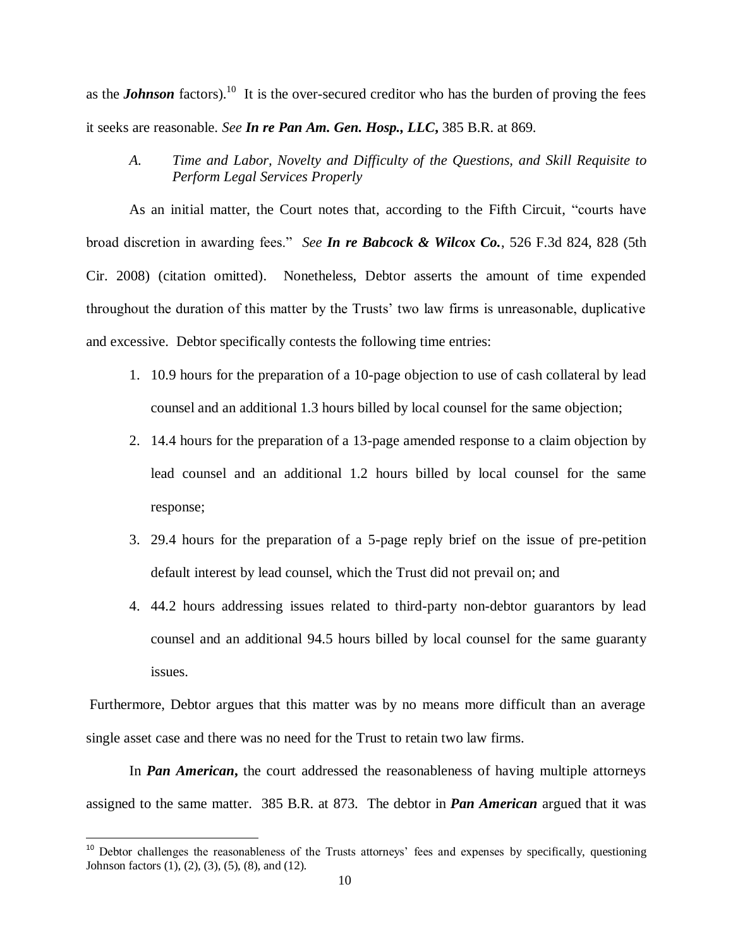as the *Johnson* factors).<sup>10</sup> It is the over-secured creditor who has the burden of proving the fees it seeks are reasonable. *See In re Pan Am. Gen. Hosp., LLC***,** 385 B.R. at 869.

*A. Time and Labor, Novelty and Difficulty of the Questions, and Skill Requisite to Perform Legal Services Properly*

As an initial matter, the Court notes that, according to the Fifth Circuit, "courts have broad discretion in awarding fees." *See In re Babcock & Wilcox Co.*, 526 F.3d 824, 828 (5th Cir. 2008) (citation omitted). Nonetheless, Debtor asserts the amount of time expended throughout the duration of this matter by the Trusts' two law firms is unreasonable, duplicative and excessive. Debtor specifically contests the following time entries:

- 1. 10.9 hours for the preparation of a 10-page objection to use of cash collateral by lead counsel and an additional 1.3 hours billed by local counsel for the same objection;
- 2. 14.4 hours for the preparation of a 13-page amended response to a claim objection by lead counsel and an additional 1.2 hours billed by local counsel for the same response;
- 3. 29.4 hours for the preparation of a 5-page reply brief on the issue of pre-petition default interest by lead counsel, which the Trust did not prevail on; and
- 4. 44.2 hours addressing issues related to third-party non-debtor guarantors by lead counsel and an additional 94.5 hours billed by local counsel for the same guaranty issues.

Furthermore, Debtor argues that this matter was by no means more difficult than an average single asset case and there was no need for the Trust to retain two law firms.

In *Pan American***,** the court addressed the reasonableness of having multiple attorneys assigned to the same matter. 385 B.R. at 873. The debtor in *Pan American* argued that it was

 $\overline{a}$ 

<sup>&</sup>lt;sup>10</sup> Debtor challenges the reasonableness of the Trusts attorneys' fees and expenses by specifically, questioning Johnson factors (1), (2), (3), (5), (8), and (12).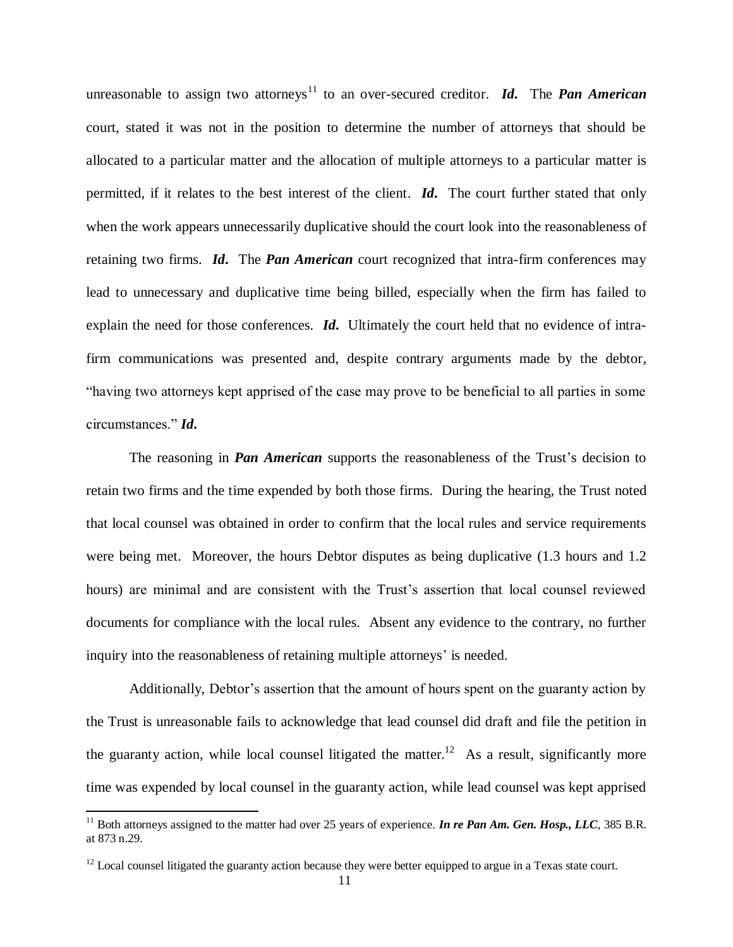unreasonable to assign two attorneys<sup>11</sup> to an over-secured creditor. *Id*. The *Pan American* court, stated it was not in the position to determine the number of attorneys that should be allocated to a particular matter and the allocation of multiple attorneys to a particular matter is permitted, if it relates to the best interest of the client. *Id***.** The court further stated that only when the work appears unnecessarily duplicative should the court look into the reasonableness of retaining two firms. *Id***.** The *Pan American* court recognized that intra-firm conferences may lead to unnecessary and duplicative time being billed, especially when the firm has failed to explain the need for those conferences. *Id***.** Ultimately the court held that no evidence of intrafirm communications was presented and, despite contrary arguments made by the debtor, "having two attorneys kept apprised of the case may prove to be beneficial to all parties in some circumstances." *Id***.** 

The reasoning in *Pan American* supports the reasonableness of the Trust's decision to retain two firms and the time expended by both those firms. During the hearing, the Trust noted that local counsel was obtained in order to confirm that the local rules and service requirements were being met. Moreover, the hours Debtor disputes as being duplicative (1.3 hours and 1.2 hours) are minimal and are consistent with the Trust's assertion that local counsel reviewed documents for compliance with the local rules. Absent any evidence to the contrary, no further inquiry into the reasonableness of retaining multiple attorneys' is needed.

Additionally, Debtor's assertion that the amount of hours spent on the guaranty action by the Trust is unreasonable fails to acknowledge that lead counsel did draft and file the petition in the guaranty action, while local counsel litigated the matter.<sup>12</sup> As a result, significantly more time was expended by local counsel in the guaranty action, while lead counsel was kept apprised

 $\overline{a}$ 

<sup>&</sup>lt;sup>11</sup> Both attorneys assigned to the matter had over 25 years of experience. *In re Pan Am. Gen. Hosp., LLC*, 385 B.R. at 873 n.29.

 $12$  Local counsel litigated the guaranty action because they were better equipped to argue in a Texas state court.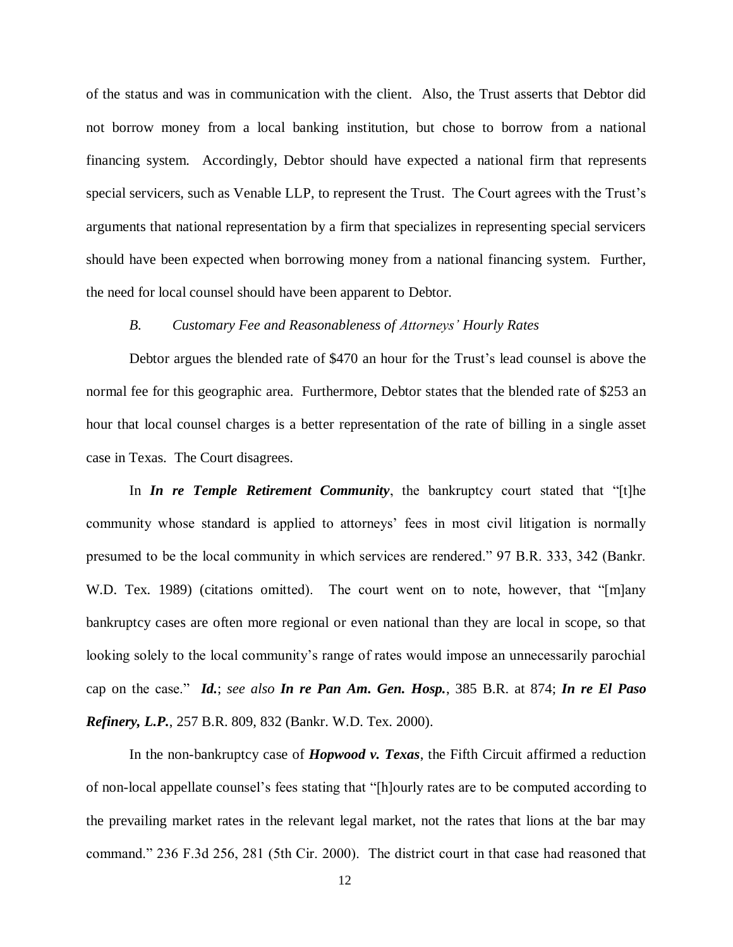of the status and was in communication with the client. Also, the Trust asserts that Debtor did not borrow money from a local banking institution, but chose to borrow from a national financing system. Accordingly, Debtor should have expected a national firm that represents special servicers, such as Venable LLP, to represent the Trust. The Court agrees with the Trust's arguments that national representation by a firm that specializes in representing special servicers should have been expected when borrowing money from a national financing system. Further, the need for local counsel should have been apparent to Debtor.

#### *B. Customary Fee and Reasonableness of Attorneys' Hourly Rates*

Debtor argues the blended rate of \$470 an hour for the Trust's lead counsel is above the normal fee for this geographic area. Furthermore, Debtor states that the blended rate of \$253 an hour that local counsel charges is a better representation of the rate of billing in a single asset case in Texas. The Court disagrees.

In *In re Temple Retirement Community*, the bankruptcy court stated that "[t]he community whose standard is applied to attorneys' fees in most civil litigation is normally presumed to be the local community in which services are rendered." 97 B.R. 333, 342 (Bankr. W.D. Tex. 1989) (citations omitted). The court went on to note, however, that "[m]any bankruptcy cases are often more regional or even national than they are local in scope, so that looking solely to the local community's range of rates would impose an unnecessarily parochial cap on the case." *Id.*; *see also In re Pan Am. Gen. Hosp.*, 385 B.R. at 874; *In re El Paso Refinery, L.P.*, 257 B.R. 809, 832 (Bankr. W.D. Tex. 2000).

In the non-bankruptcy case of *Hopwood v. Texas*, the Fifth Circuit affirmed a reduction of non-local appellate counsel's fees stating that "[h]ourly rates are to be computed according to the prevailing market rates in the relevant legal market, not the rates that lions at the bar may command." 236 F.3d 256, 281 (5th Cir. 2000). The district court in that case had reasoned that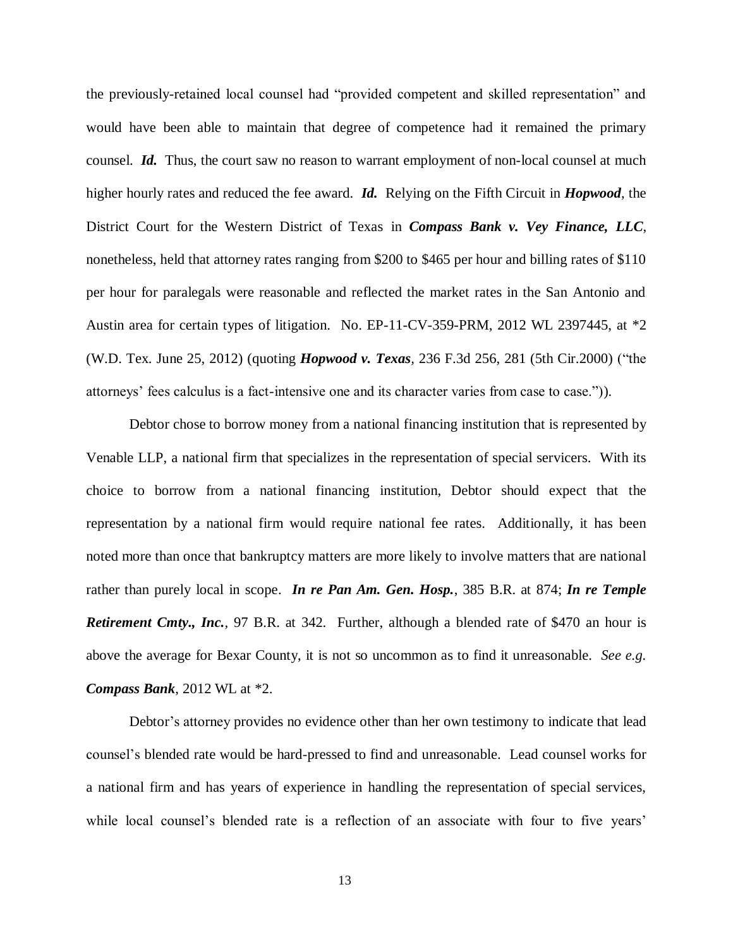the previously-retained local counsel had "provided competent and skilled representation" and would have been able to maintain that degree of competence had it remained the primary counsel. *Id.* Thus, the court saw no reason to warrant employment of non-local counsel at much higher hourly rates and reduced the fee award. *Id.* Relying on the Fifth Circuit in *Hopwood*, the District Court for the Western District of Texas in *Compass Bank v. Vey Finance, LLC*, nonetheless, held that attorney rates ranging from \$200 to \$465 per hour and billing rates of \$110 per hour for paralegals were reasonable and reflected the market rates in the San Antonio and Austin area for certain types of litigation. No. EP-11-CV-359-PRM, 2012 WL 2397445, at \*2 (W.D. Tex. June 25, 2012) (quoting *Hopwood v. Texas,* [236 F.3d 256, 281 \(5th Cir.2000\)](https://a.next.westlaw.com/Link/Document/FullText?findType=Y&serNum=2000655157&pubNum=506&fi=co_pp_sp_506_281&originationContext=document&transitionType=DocumentItem&contextData=(sc.Search)#co_pp_sp_506_281) ("the attorneys' fees calculus is a fact-intensive one and its character varies from case to case.")).

Debtor chose to borrow money from a national financing institution that is represented by Venable LLP, a national firm that specializes in the representation of special servicers. With its choice to borrow from a national financing institution, Debtor should expect that the representation by a national firm would require national fee rates. Additionally, it has been noted more than once that bankruptcy matters are more likely to involve matters that are national rather than purely local in scope. *In re Pan Am. Gen. Hosp.*, 385 B.R. at 874; *[In re Temple](https://a.next.westlaw.com/Link/Document/FullText?findType=Y&serNum=1989037710&pubNum=164&fi=co_pp_sp_164_342&originationContext=document&transitionType=DocumentItem&contextData=(sc.UserEnteredCitation)#co_pp_sp_164_342)  [Retirement Cmty., Inc.](https://a.next.westlaw.com/Link/Document/FullText?findType=Y&serNum=1989037710&pubNum=164&fi=co_pp_sp_164_342&originationContext=document&transitionType=DocumentItem&contextData=(sc.UserEnteredCitation)#co_pp_sp_164_342)*, 97 B.R. at 342. Further, although a blended rate of \$470 an hour is above the average for Bexar County, it is not so uncommon as to find it unreasonable. *See e.g. Compass Bank*, 2012 WL at \*2.

Debtor's attorney provides no evidence other than her own testimony to indicate that lead counsel's blended rate would be hard-pressed to find and unreasonable. Lead counsel works for a national firm and has years of experience in handling the representation of special services, while local counsel's blended rate is a reflection of an associate with four to five years'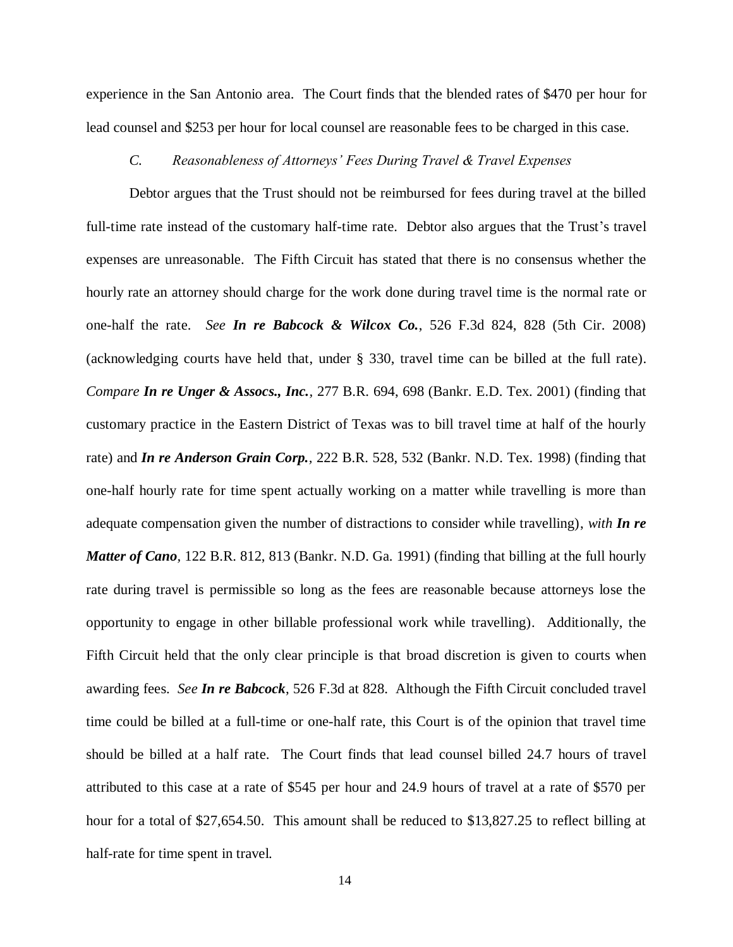experience in the San Antonio area. The Court finds that the blended rates of \$470 per hour for lead counsel and \$253 per hour for local counsel are reasonable fees to be charged in this case.

## *C. Reasonableness of Attorneys' Fees During Travel & Travel Expenses*

Debtor argues that the Trust should not be reimbursed for fees during travel at the billed full-time rate instead of the customary half-time rate. Debtor also argues that the Trust's travel expenses are unreasonable. The Fifth Circuit has stated that there is no consensus whether the hourly rate an attorney should charge for the work done during travel time is the normal rate or one-half the rate. *See In re Babcock & Wilcox Co.*, 526 F.3d 824, 828 (5th Cir. 2008) (acknowledging courts have held that, under § 330, travel time can be billed at the full rate). *Compare [In re Unger & Assocs., Inc.](https://a.next.westlaw.com/Link/Document/FullText?findType=Y&serNum=2002294586&pubNum=164&fi=co_pp_sp_164_698&originationContext=document&transitionType=DocumentItem&contextData=(sc.Keycite)#co_pp_sp_164_698),* 277 B.R. 694, 698 (Bankr. E.D. Tex. 2001) (finding that customary practice in the Eastern District of Texas was to bill travel time at half of the hourly rate) and *[In re Anderson Grain Corp.](https://a.next.westlaw.com/Link/Document/FullText?findType=Y&serNum=1998117877&pubNum=164&fi=co_pp_sp_164_532&originationContext=document&transitionType=DocumentItem&contextData=(sc.Keycite)#co_pp_sp_164_532),* 222 B.R. 528, 532 (Bankr. N.D. Tex. 1998) (finding that one-half hourly rate for time spent actually working on a matter while travelling is more than adequate compensation given the number of distractions to consider while travelling), *with [In re](https://a.next.westlaw.com/Link/Document/FullText?findType=Y&serNum=1991020817&pubNum=164&fi=co_pp_sp_164_813&originationContext=document&transitionType=DocumentItem&contextData=(sc.Keycite)#co_pp_sp_164_813)  Matter of Cano,* [122 B.R. 812, 813](https://a.next.westlaw.com/Link/Document/FullText?findType=Y&serNum=1991020817&pubNum=164&fi=co_pp_sp_164_813&originationContext=document&transitionType=DocumentItem&contextData=(sc.Keycite)#co_pp_sp_164_813) (Bankr. N.D. Ga. 1991) (finding that billing at the full hourly rate during travel is permissible so long as the fees are reasonable because attorneys lose the opportunity to engage in other billable professional work while travelling). Additionally, the Fifth Circuit held that the only clear principle is that broad discretion is given to courts when awarding fees. *See In re Babcock*, 526 F.3d at 828. Although the Fifth Circuit concluded travel time could be billed at a full-time or one-half rate, this Court is of the opinion that travel time should be billed at a half rate. The Court finds that lead counsel billed 24.7 hours of travel attributed to this case at a rate of \$545 per hour and 24.9 hours of travel at a rate of \$570 per hour for a total of \$27,654.50. This amount shall be reduced to \$13,827.25 to reflect billing at half-rate for time spent in travel.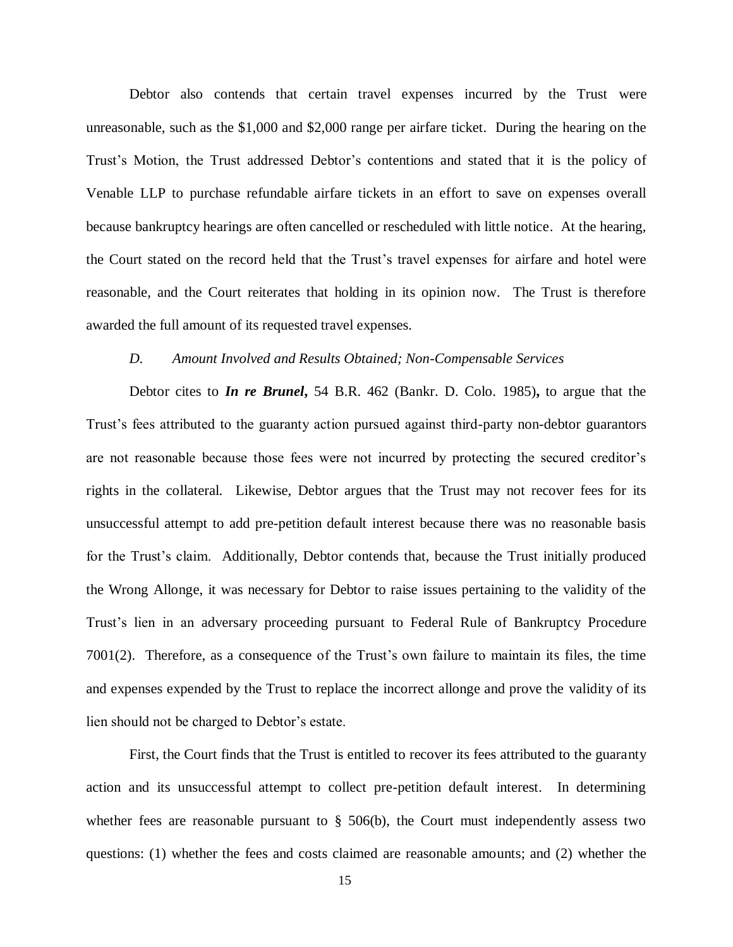Debtor also contends that certain travel expenses incurred by the Trust were unreasonable, such as the \$1,000 and \$2,000 range per airfare ticket. During the hearing on the Trust's Motion, the Trust addressed Debtor's contentions and stated that it is the policy of Venable LLP to purchase refundable airfare tickets in an effort to save on expenses overall because bankruptcy hearings are often cancelled or rescheduled with little notice. At the hearing, the Court stated on the record held that the Trust's travel expenses for airfare and hotel were reasonable, and the Court reiterates that holding in its opinion now. The Trust is therefore awarded the full amount of its requested travel expenses.

## *D. Amount Involved and Results Obtained; Non-Compensable Services*

Debtor cites to *In re Brunel***,** 54 B.R. 462 (Bankr. D. Colo. 1985)**,** to argue that the Trust's fees attributed to the guaranty action pursued against third-party non-debtor guarantors are not reasonable because those fees were not incurred by protecting the secured creditor's rights in the collateral. Likewise, Debtor argues that the Trust may not recover fees for its unsuccessful attempt to add pre-petition default interest because there was no reasonable basis for the Trust's claim. Additionally, Debtor contends that, because the Trust initially produced the Wrong Allonge, it was necessary for Debtor to raise issues pertaining to the validity of the Trust's lien in an adversary proceeding pursuant to Federal Rule of Bankruptcy Procedure 7001(2). Therefore, as a consequence of the Trust's own failure to maintain its files, the time and expenses expended by the Trust to replace the incorrect allonge and prove the validity of its lien should not be charged to Debtor's estate.

First, the Court finds that the Trust is entitled to recover its fees attributed to the guaranty action and its unsuccessful attempt to collect pre-petition default interest. In determining whether fees are reasonable pursuant to  $\S$  506(b), the Court must independently assess two questions: (1) whether the fees and costs claimed are reasonable amounts; and (2) whether the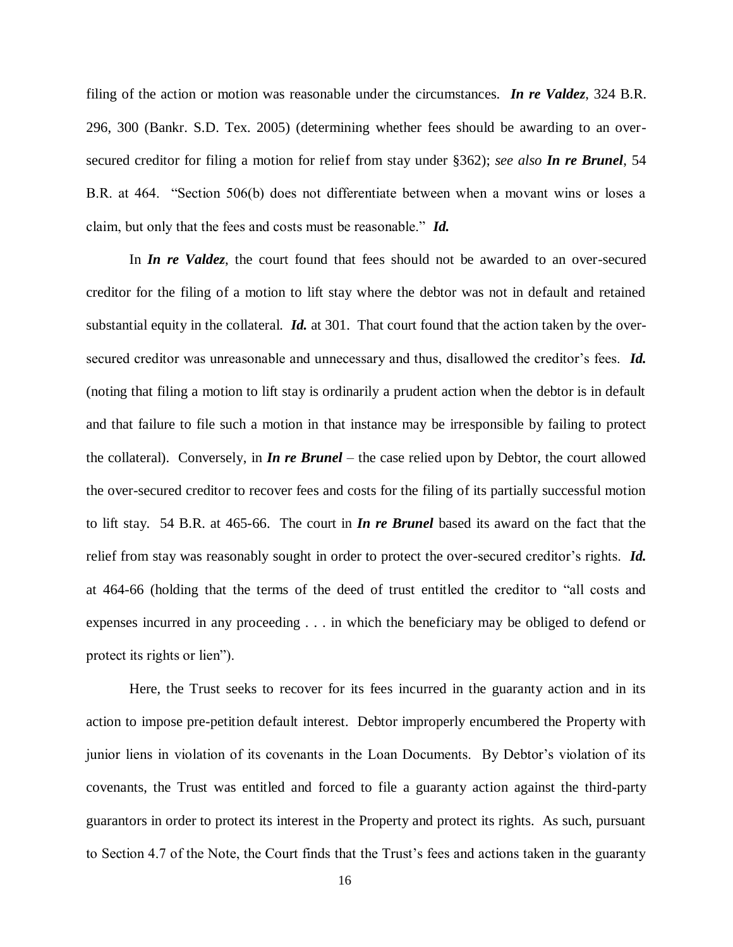filing of the action or motion was reasonable under the circumstances. *In re Valdez*, 324 B.R. 296, 300 (Bankr. S.D. Tex. 2005) (determining whether fees should be awarding to an oversecured creditor for filing a motion for relief from stay under §362); *see also In re Brunel*, 54 B.R. at 464. "Section 506(b) does not differentiate between when a movant wins or loses a claim, but only that the fees and costs must be reasonable." *Id.*

In *In re Valdez*, the court found that fees should not be awarded to an over-secured creditor for the filing of a motion to lift stay where the debtor was not in default and retained substantial equity in the collateral. *Id.* at 301. That court found that the action taken by the oversecured creditor was unreasonable and unnecessary and thus, disallowed the creditor's fees. *Id.* (noting that filing a motion to lift stay is ordinarily a prudent action when the debtor is in default and that failure to file such a motion in that instance may be irresponsible by failing to protect the collateral). Conversely, in *In re Brunel* – the case relied upon by Debtor, the court allowed the over-secured creditor to recover fees and costs for the filing of its partially successful motion to lift stay. 54 B.R. at 465-66. The court in *In re Brunel* based its award on the fact that the relief from stay was reasonably sought in order to protect the over-secured creditor's rights. *Id.* at 464-66 (holding that the terms of the deed of trust entitled the creditor to "all costs and expenses incurred in any proceeding . . . in which the beneficiary may be obliged to defend or protect its rights or lien").

Here, the Trust seeks to recover for its fees incurred in the guaranty action and in its action to impose pre-petition default interest. Debtor improperly encumbered the Property with junior liens in violation of its covenants in the Loan Documents. By Debtor's violation of its covenants, the Trust was entitled and forced to file a guaranty action against the third-party guarantors in order to protect its interest in the Property and protect its rights. As such, pursuant to Section 4.7 of the Note, the Court finds that the Trust's fees and actions taken in the guaranty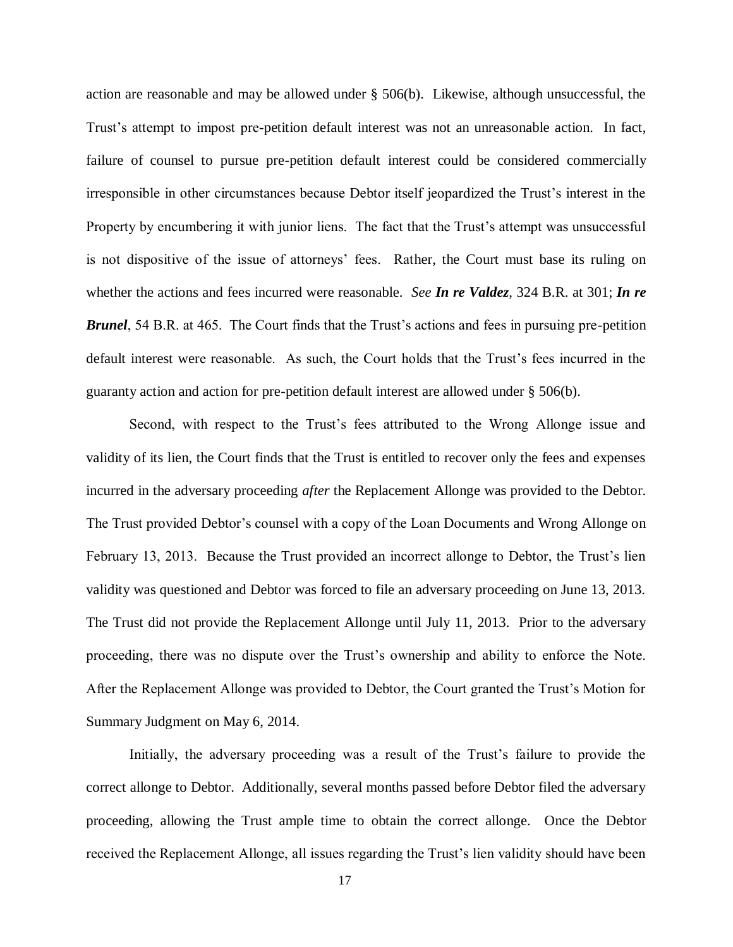action are reasonable and may be allowed under § 506(b). Likewise, although unsuccessful, the Trust's attempt to impost pre-petition default interest was not an unreasonable action. In fact, failure of counsel to pursue pre-petition default interest could be considered commercially irresponsible in other circumstances because Debtor itself jeopardized the Trust's interest in the Property by encumbering it with junior liens. The fact that the Trust's attempt was unsuccessful is not dispositive of the issue of attorneys' fees. Rather, the Court must base its ruling on whether the actions and fees incurred were reasonable. *See In re Valdez*, 324 B.R. at 301; *In re Brunel*, 54 B.R. at 465. The Court finds that the Trust's actions and fees in pursuing pre-petition default interest were reasonable. As such, the Court holds that the Trust's fees incurred in the guaranty action and action for pre-petition default interest are allowed under § 506(b).

Second, with respect to the Trust's fees attributed to the Wrong Allonge issue and validity of its lien, the Court finds that the Trust is entitled to recover only the fees and expenses incurred in the adversary proceeding *after* the Replacement Allonge was provided to the Debtor. The Trust provided Debtor's counsel with a copy of the Loan Documents and Wrong Allonge on February 13, 2013. Because the Trust provided an incorrect allonge to Debtor, the Trust's lien validity was questioned and Debtor was forced to file an adversary proceeding on June 13, 2013. The Trust did not provide the Replacement Allonge until July 11, 2013. Prior to the adversary proceeding, there was no dispute over the Trust's ownership and ability to enforce the Note. After the Replacement Allonge was provided to Debtor, the Court granted the Trust's Motion for Summary Judgment on May 6, 2014.

Initially, the adversary proceeding was a result of the Trust's failure to provide the correct allonge to Debtor. Additionally, several months passed before Debtor filed the adversary proceeding, allowing the Trust ample time to obtain the correct allonge. Once the Debtor received the Replacement Allonge, all issues regarding the Trust's lien validity should have been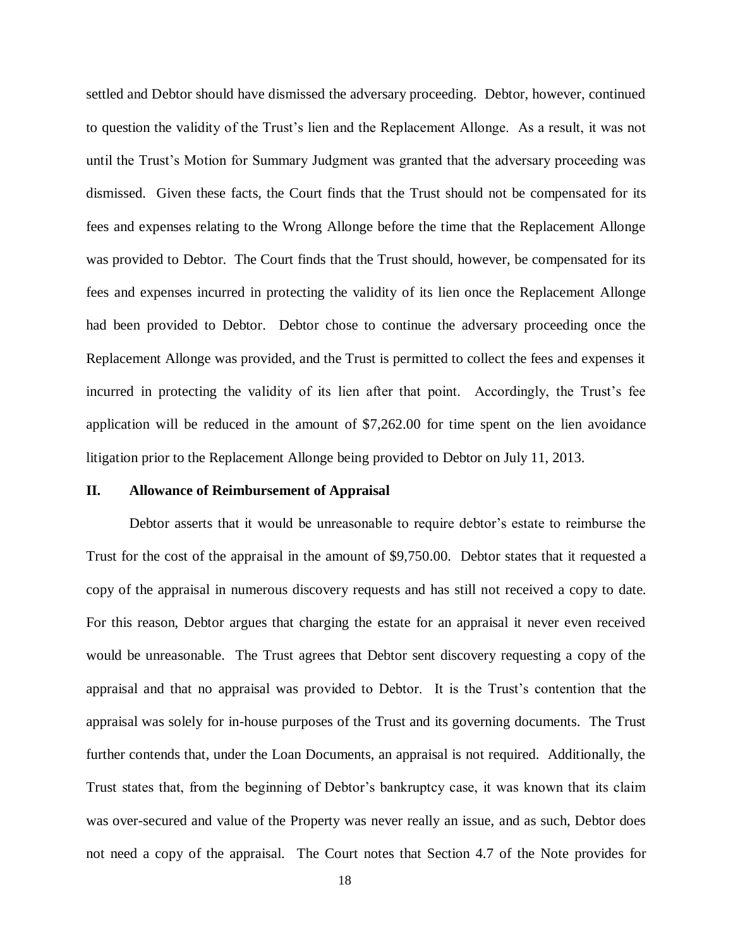settled and Debtor should have dismissed the adversary proceeding. Debtor, however, continued to question the validity of the Trust's lien and the Replacement Allonge. As a result, it was not until the Trust's Motion for Summary Judgment was granted that the adversary proceeding was dismissed. Given these facts, the Court finds that the Trust should not be compensated for its fees and expenses relating to the Wrong Allonge before the time that the Replacement Allonge was provided to Debtor. The Court finds that the Trust should, however, be compensated for its fees and expenses incurred in protecting the validity of its lien once the Replacement Allonge had been provided to Debtor. Debtor chose to continue the adversary proceeding once the Replacement Allonge was provided, and the Trust is permitted to collect the fees and expenses it incurred in protecting the validity of its lien after that point. Accordingly, the Trust's fee application will be reduced in the amount of \$7,262.00 for time spent on the lien avoidance litigation prior to the Replacement Allonge being provided to Debtor on July 11, 2013.

## **II. Allowance of Reimbursement of Appraisal**

Debtor asserts that it would be unreasonable to require debtor's estate to reimburse the Trust for the cost of the appraisal in the amount of \$9,750.00. Debtor states that it requested a copy of the appraisal in numerous discovery requests and has still not received a copy to date. For this reason, Debtor argues that charging the estate for an appraisal it never even received would be unreasonable. The Trust agrees that Debtor sent discovery requesting a copy of the appraisal and that no appraisal was provided to Debtor. It is the Trust's contention that the appraisal was solely for in-house purposes of the Trust and its governing documents. The Trust further contends that, under the Loan Documents, an appraisal is not required. Additionally, the Trust states that, from the beginning of Debtor's bankruptcy case, it was known that its claim was over-secured and value of the Property was never really an issue, and as such, Debtor does not need a copy of the appraisal. The Court notes that Section 4.7 of the Note provides for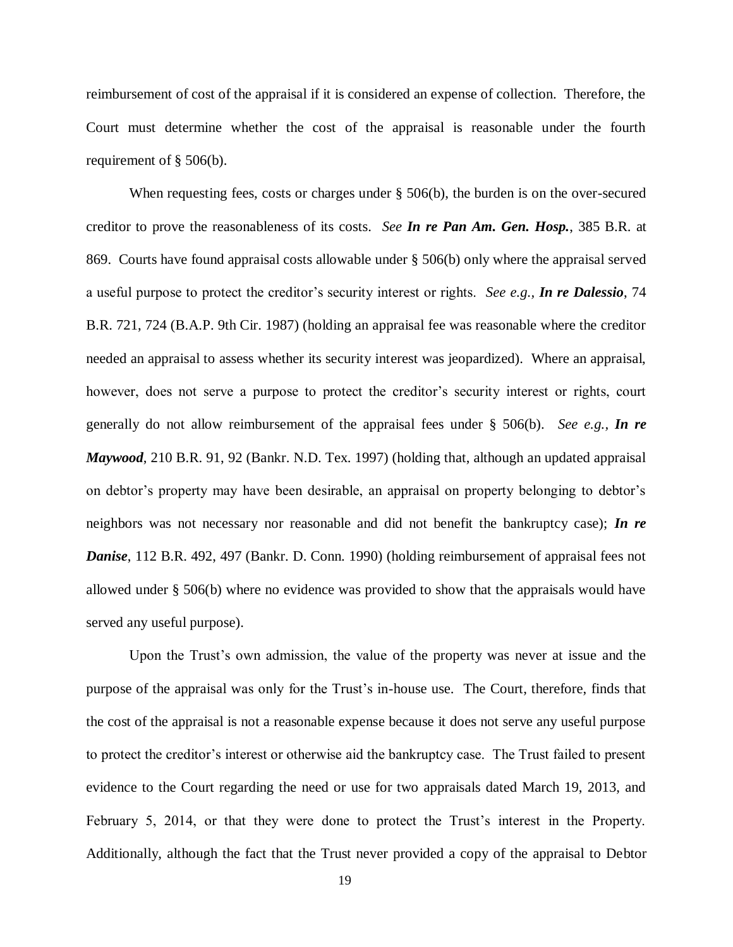reimbursement of cost of the appraisal if it is considered an expense of collection. Therefore, the Court must determine whether the cost of the appraisal is reasonable under the fourth requirement of § 506(b).

When requesting fees, costs or charges under § 506(b), the burden is on the over-secured creditor to prove the reasonableness of its costs. *See In re Pan Am. Gen. Hosp.*, 385 B.R. at 869. Courts have found appraisal costs allowable under § 506(b) only where the appraisal served a useful purpose to protect the creditor's security interest or rights. *See e.g., In re Dalessio*, 74 B.R. 721, 724 (B.A.P. 9th Cir. 1987) (holding an appraisal fee was reasonable where the creditor needed an appraisal to assess whether its security interest was jeopardized). Where an appraisal, however, does not serve a purpose to protect the creditor's security interest or rights, court generally do not allow reimbursement of the appraisal fees under § 506(b). *See e.g., In re Maywood*, 210 B.R. 91, 92 (Bankr. N.D. Tex. 1997) (holding that, although an updated appraisal on debtor's property may have been desirable, an appraisal on property belonging to debtor's neighbors was not necessary nor reasonable and did not benefit the bankruptcy case); *In re Danise*, 112 B.R. 492, 497 (Bankr. D. Conn. 1990) (holding reimbursement of appraisal fees not allowed under § 506(b) where no evidence was provided to show that the appraisals would have served any useful purpose).

Upon the Trust's own admission, the value of the property was never at issue and the purpose of the appraisal was only for the Trust's in-house use. The Court, therefore, finds that the cost of the appraisal is not a reasonable expense because it does not serve any useful purpose to protect the creditor's interest or otherwise aid the bankruptcy case. The Trust failed to present evidence to the Court regarding the need or use for two appraisals dated March 19, 2013, and February 5, 2014, or that they were done to protect the Trust's interest in the Property. Additionally, although the fact that the Trust never provided a copy of the appraisal to Debtor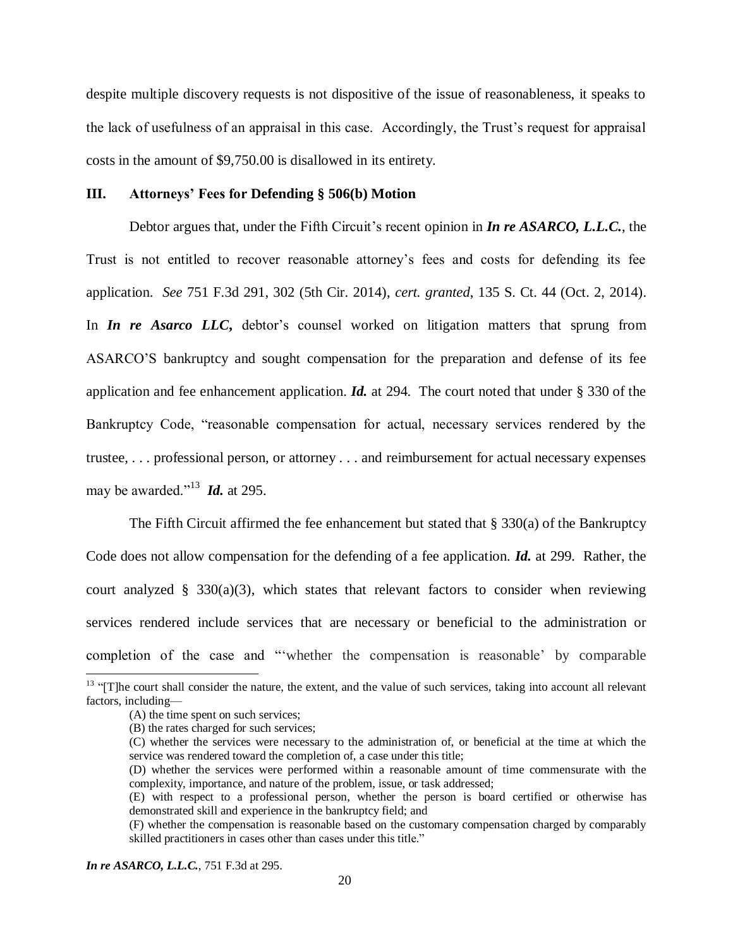despite multiple discovery requests is not dispositive of the issue of reasonableness, it speaks to the lack of usefulness of an appraisal in this case. Accordingly, the Trust's request for appraisal costs in the amount of \$9,750.00 is disallowed in its entirety.

## **III. Attorneys' Fees for Defending § 506(b) Motion**

Debtor argues that, under the Fifth Circuit's recent opinion in *In re ASARCO, L.L.C.*, the Trust is not entitled to recover reasonable attorney's fees and costs for defending its fee application. *See* 751 F.3d 291, 302 (5th Cir. 2014), *cert. granted*, 135 S. Ct. 44 (Oct. 2, 2014). In *In re Asarco LLC*, debtor's counsel worked on litigation matters that sprung from ASARCO'S bankruptcy and sought compensation for the preparation and defense of its fee application and fee enhancement application. *Id.* at 294. The court noted that under § 330 of the Bankruptcy Code, "reasonable compensation for actual, necessary services rendered by the trustee, . . . professional person, or attorney . . . and reimbursement for actual necessary expenses may be awarded."<sup>13</sup> *Id.* at 295.

The Fifth Circuit affirmed the fee enhancement but stated that § 330(a) of the Bankruptcy Code does not allow compensation for the defending of a fee application. *Id.* at 299. Rather, the court analyzed § 330(a)(3), which states that relevant factors to consider when reviewing services rendered include services that are necessary or beneficial to the administration or completion of the case and "'whether the compensation is reasonable' by comparable

 $\overline{\phantom{a}}$ 

<sup>&</sup>lt;sup>13</sup> "[T]he court shall consider the nature, the extent, and the value of such services, taking into account all relevant factors, including—

<sup>(</sup>A) the time spent on such services;

<sup>(</sup>B) the rates charged for such services;

<sup>(</sup>C) whether the services were necessary to the administration of, or beneficial at the time at which the service was rendered toward the completion of, a case under this title;

<sup>(</sup>D) whether the services were performed within a reasonable amount of time commensurate with the complexity, importance, and nature of the problem, issue, or task addressed;

<sup>(</sup>E) with respect to a professional person, whether the person is board certified or otherwise has demonstrated skill and experience in the bankruptcy field; and

<sup>(</sup>F) whether the compensation is reasonable based on the customary compensation charged by comparably skilled practitioners in cases other than cases under this title."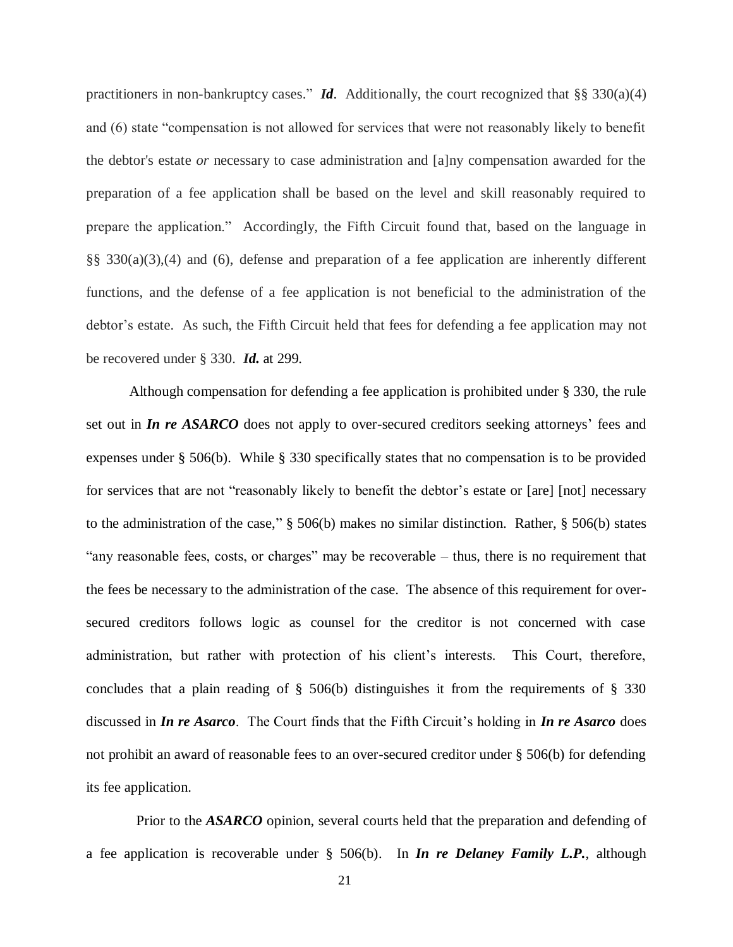practitioners in non-bankruptcy cases." *Id*. Additionally, the court recognized that §§ 330(a)(4) and (6) state "compensation is not allowed for services that were not reasonably likely to benefit the debtor's estate *or* necessary to case administration and [a]ny compensation awarded for the preparation of a fee application shall be based on the level and skill reasonably required to prepare the application." Accordingly, the Fifth Circuit found that, based on the language in §§ 330(a)(3),(4) and (6), defense and preparation of a fee application are inherently different functions, and the defense of a fee application is not beneficial to the administration of the debtor's estate. As such, the Fifth Circuit held that fees for defending a fee application may not be recovered under § 330. *Id***.** at 299.

Although compensation for defending a fee application is prohibited under § 330, the rule set out in *In re ASARCO* does not apply to over-secured creditors seeking attorneys' fees and expenses under § 506(b). While § 330 specifically states that no compensation is to be provided for services that are not "reasonably likely to benefit the debtor's estate or [are] [not] necessary to the administration of the case," § 506(b) makes no similar distinction. Rather, § 506(b) states "any reasonable fees, costs, or charges" may be recoverable – thus, there is no requirement that the fees be necessary to the administration of the case. The absence of this requirement for oversecured creditors follows logic as counsel for the creditor is not concerned with case administration, but rather with protection of his client's interests. This Court, therefore, concludes that a plain reading of  $\S$  506(b) distinguishes it from the requirements of  $\S$  330 discussed in *In re Asarco*. The Court finds that the Fifth Circuit's holding in *In re Asarco* does not prohibit an award of reasonable fees to an over-secured creditor under § 506(b) for defending its fee application.

Prior to the **ASARCO** opinion, several courts held that the preparation and defending of a fee application is recoverable under § 506(b). In *In re Delaney Family L.P.*, although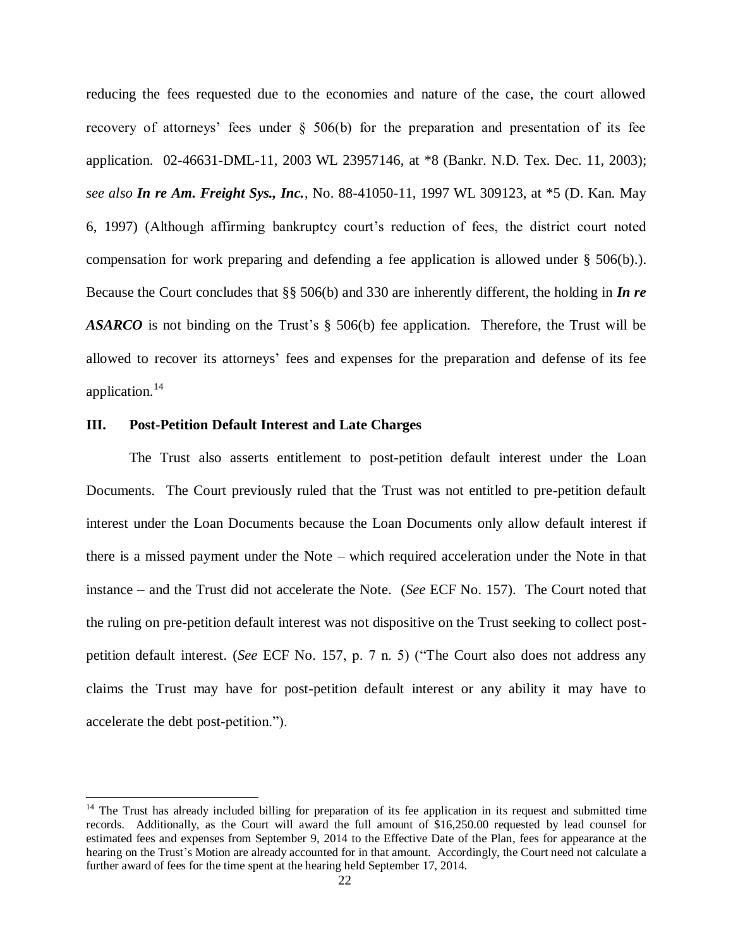reducing the fees requested due to the economies and nature of the case, the court allowed recovery of attorneys' fees under § 506(b) for the preparation and presentation of its fee application. 02-46631-DML-11, 2003 WL 23957146, at \*8 (Bankr. N.D. Tex. Dec. 11, 2003); *see also In re Am. Freight Sys., Inc.*, No. 88-41050-11, 1997 WL 309123, at \*5 (D. Kan. May 6, 1997) (Although affirming bankruptcy court's reduction of fees, the district court noted compensation for work preparing and defending a fee application is allowed under § 506(b).). Because the Court concludes that §§ 506(b) and 330 are inherently different, the holding in *In re*  ASARCO is not binding on the Trust's § 506(b) fee application. Therefore, the Trust will be allowed to recover its attorneys' fees and expenses for the preparation and defense of its fee application.<sup>14</sup>

## **III. Post-Petition Default Interest and Late Charges**

 $\overline{\phantom{a}}$ 

The Trust also asserts entitlement to post-petition default interest under the Loan Documents. The Court previously ruled that the Trust was not entitled to pre-petition default interest under the Loan Documents because the Loan Documents only allow default interest if there is a missed payment under the Note – which required acceleration under the Note in that instance – and the Trust did not accelerate the Note. (*See* ECF No. 157). The Court noted that the ruling on pre-petition default interest was not dispositive on the Trust seeking to collect postpetition default interest. (*See* ECF No. 157, p. 7 n. 5) ("The Court also does not address any claims the Trust may have for post-petition default interest or any ability it may have to accelerate the debt post-petition.").

 $14$  The Trust has already included billing for preparation of its fee application in its request and submitted time records. Additionally, as the Court will award the full amount of \$16,250.00 requested by lead counsel for estimated fees and expenses from September 9, 2014 to the Effective Date of the Plan, fees for appearance at the hearing on the Trust's Motion are already accounted for in that amount. Accordingly, the Court need not calculate a further award of fees for the time spent at the hearing held September 17, 2014.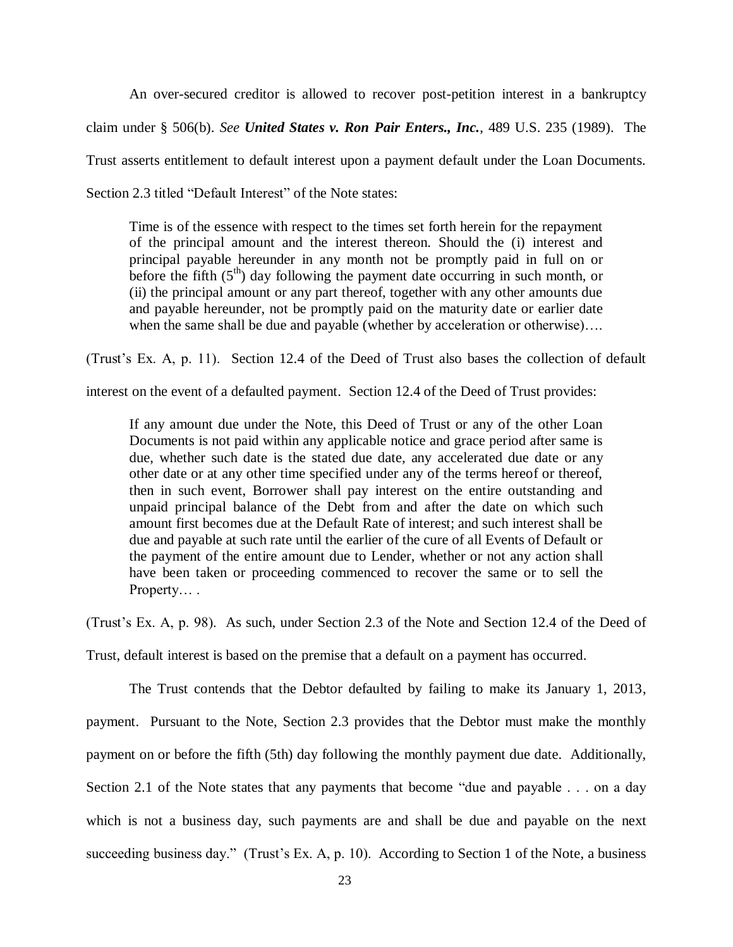An over-secured creditor is allowed to recover post-petition interest in a bankruptcy

claim under § 506(b). *See United States v. Ron Pair Enters., Inc.*, 489 U.S. 235 (1989). The

Trust asserts entitlement to default interest upon a payment default under the Loan Documents.

Section 2.3 titled "Default Interest" of the Note states:

Time is of the essence with respect to the times set forth herein for the repayment of the principal amount and the interest thereon. Should the (i) interest and principal payable hereunder in any month not be promptly paid in full on or before the fifth  $(5<sup>th</sup>)$  day following the payment date occurring in such month, or (ii) the principal amount or any part thereof, together with any other amounts due and payable hereunder, not be promptly paid on the maturity date or earlier date when the same shall be due and payable (whether by acceleration or otherwise)....

(Trust's Ex. A, p. 11). Section 12.4 of the Deed of Trust also bases the collection of default

interest on the event of a defaulted payment. Section 12.4 of the Deed of Trust provides:

If any amount due under the Note, this Deed of Trust or any of the other Loan Documents is not paid within any applicable notice and grace period after same is due, whether such date is the stated due date, any accelerated due date or any other date or at any other time specified under any of the terms hereof or thereof, then in such event, Borrower shall pay interest on the entire outstanding and unpaid principal balance of the Debt from and after the date on which such amount first becomes due at the Default Rate of interest; and such interest shall be due and payable at such rate until the earlier of the cure of all Events of Default or the payment of the entire amount due to Lender, whether or not any action shall have been taken or proceeding commenced to recover the same or to sell the Property… .

(Trust's Ex. A, p. 98). As such, under Section 2.3 of the Note and Section 12.4 of the Deed of

Trust, default interest is based on the premise that a default on a payment has occurred.

The Trust contends that the Debtor defaulted by failing to make its January 1, 2013, payment. Pursuant to the Note, Section 2.3 provides that the Debtor must make the monthly payment on or before the fifth (5th) day following the monthly payment due date. Additionally, Section 2.1 of the Note states that any payments that become "due and payable . . . on a day which is not a business day, such payments are and shall be due and payable on the next succeeding business day." (Trust's Ex. A, p. 10). According to Section 1 of the Note, a business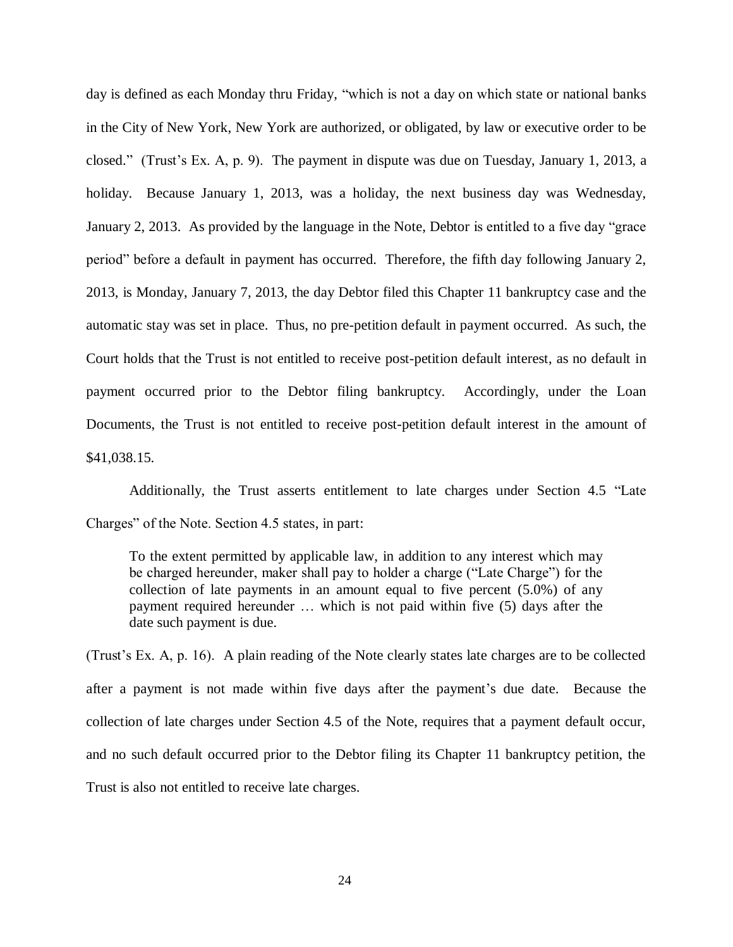day is defined as each Monday thru Friday, "which is not a day on which state or national banks in the City of New York, New York are authorized, or obligated, by law or executive order to be closed." (Trust's Ex. A, p. 9). The payment in dispute was due on Tuesday, January 1, 2013, a holiday. Because January 1, 2013, was a holiday, the next business day was Wednesday, January 2, 2013. As provided by the language in the Note, Debtor is entitled to a five day "grace period" before a default in payment has occurred. Therefore, the fifth day following January 2, 2013, is Monday, January 7, 2013, the day Debtor filed this Chapter 11 bankruptcy case and the automatic stay was set in place. Thus, no pre-petition default in payment occurred. As such, the Court holds that the Trust is not entitled to receive post-petition default interest, as no default in payment occurred prior to the Debtor filing bankruptcy. Accordingly, under the Loan Documents, the Trust is not entitled to receive post-petition default interest in the amount of \$41,038.15.

Additionally, the Trust asserts entitlement to late charges under Section 4.5 "Late Charges" of the Note. Section 4.5 states, in part:

To the extent permitted by applicable law, in addition to any interest which may be charged hereunder, maker shall pay to holder a charge ("Late Charge") for the collection of late payments in an amount equal to five percent (5.0%) of any payment required hereunder … which is not paid within five (5) days after the date such payment is due.

(Trust's Ex. A, p. 16). A plain reading of the Note clearly states late charges are to be collected after a payment is not made within five days after the payment's due date. Because the collection of late charges under Section 4.5 of the Note, requires that a payment default occur, and no such default occurred prior to the Debtor filing its Chapter 11 bankruptcy petition, the Trust is also not entitled to receive late charges.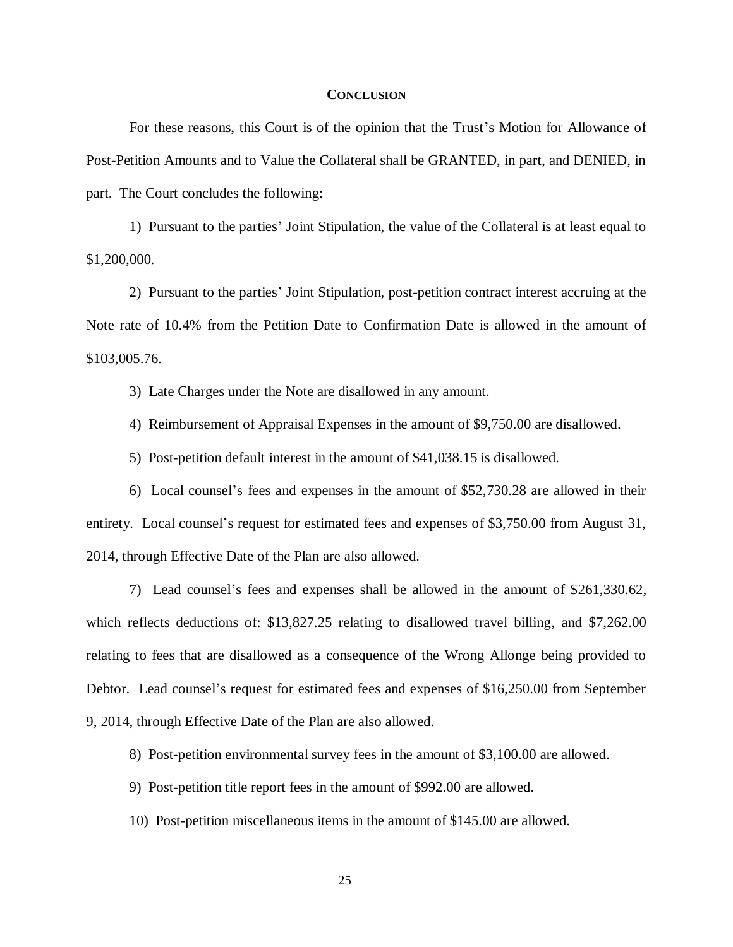#### **CONCLUSION**

For these reasons, this Court is of the opinion that the Trust's Motion for Allowance of Post-Petition Amounts and to Value the Collateral shall be GRANTED, in part, and DENIED, in part. The Court concludes the following:

1) Pursuant to the parties' Joint Stipulation, the value of the Collateral is at least equal to \$1,200,000.

2) Pursuant to the parties' Joint Stipulation, post-petition contract interest accruing at the Note rate of 10.4% from the Petition Date to Confirmation Date is allowed in the amount of \$103,005.76.

3) Late Charges under the Note are disallowed in any amount.

4) Reimbursement of Appraisal Expenses in the amount of \$9,750.00 are disallowed.

5) Post-petition default interest in the amount of \$41,038.15 is disallowed.

6) Local counsel's fees and expenses in the amount of \$52,730.28 are allowed in their entirety. Local counsel's request for estimated fees and expenses of \$3,750.00 from August 31, 2014, through Effective Date of the Plan are also allowed.

7) Lead counsel's fees and expenses shall be allowed in the amount of \$261,330.62, which reflects deductions of: \$13,827.25 relating to disallowed travel billing, and \$7,262.00 relating to fees that are disallowed as a consequence of the Wrong Allonge being provided to Debtor. Lead counsel's request for estimated fees and expenses of \$16,250.00 from September 9, 2014, through Effective Date of the Plan are also allowed.

8) Post-petition environmental survey fees in the amount of \$3,100.00 are allowed.

9) Post-petition title report fees in the amount of \$992.00 are allowed.

10) Post-petition miscellaneous items in the amount of \$145.00 are allowed.

25